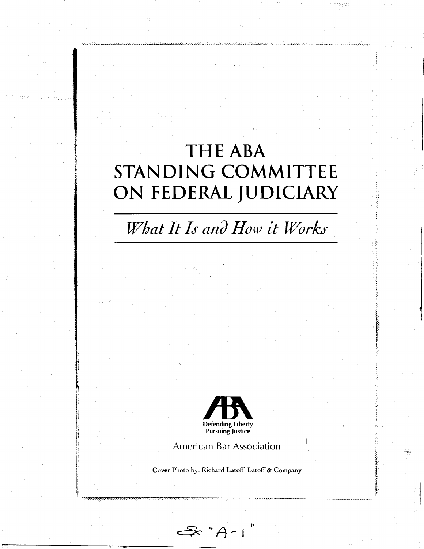## **THE ABA** STANDING COMMITTEE ON FEDERAL JUDICIARY

What It Is and How it Works



**American Bar Association** 

Cover Photo by: Richard Latoff, Latoff & Company

- A\* A -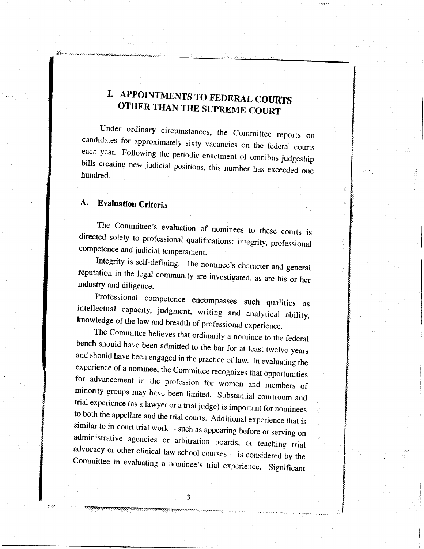## I. APPOINTMENTS TO FEDERAL COURTS<br>OTHER THAN THE SUPREME COURT

Under ordinary circumstances, the Committee reports on candidates for approximately sixty vacancies on the federal courts each year. Following the periodic enactment of omnibus judgeship bills creating new judicial positions, this number has exceeded one hundred.

## A. Evaluation Criteria

"%.r

The Committee's evaluation of nominees to these courts is directed solely to professional qualifications: integrity, professional competence and judicial temperament.

Integrity is self-defining. The nominee's character and general reputation in the legal community are investigated, as are his or her industry and diligence.

Professional competence encompasses such qualities as intellectual capacity, judgment, writing and analytical ability, knowledge of the law and breadth of professional experience.<br>The Committee believes that ordinarily a n

bench should have been admitted to the bar for at least twelve years<br>and should have been engaged in the practice of law. In evaluating the<br>experience of a nominee, the Committee recognizes that opportunities<br>for advanceme

-a,i.-r.:. - \_, \_ : -.i